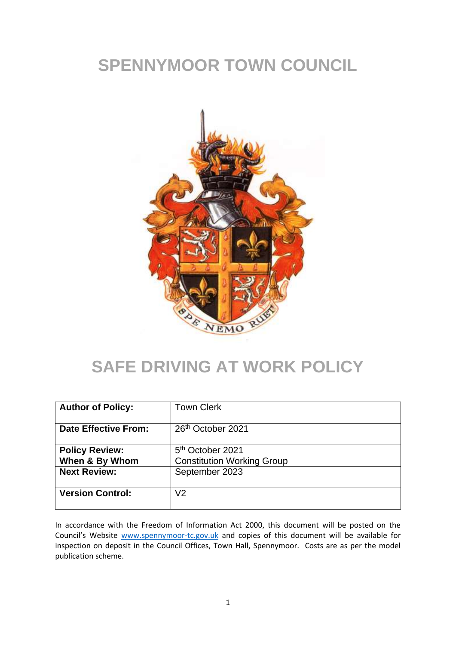## **SPENNYMOOR TOWN COUNCIL**



### **SAFE DRIVING AT WORK POLICY**

| <b>Author of Policy:</b>    | <b>Town Clerk</b>                 |
|-----------------------------|-----------------------------------|
|                             |                                   |
|                             |                                   |
| <b>Date Effective From:</b> | 26th October 2021                 |
|                             |                                   |
|                             |                                   |
| <b>Policy Review:</b>       | 5 <sup>th</sup> October 2021      |
|                             |                                   |
| When & By Whom              | <b>Constitution Working Group</b> |
| <b>Next Review:</b>         | September 2023                    |
|                             |                                   |
|                             |                                   |
| <b>Version Control:</b>     | V2                                |
|                             |                                   |
|                             |                                   |

In accordance with the Freedom of Information Act 2000, this document will be posted on the Council's Website [www.spennymoor-tc.gov.uk](http://www.spennymoor-tc.gov.uk/) and copies of this document will be available for inspection on deposit in the Council Offices, Town Hall, Spennymoor. Costs are as per the model publication scheme.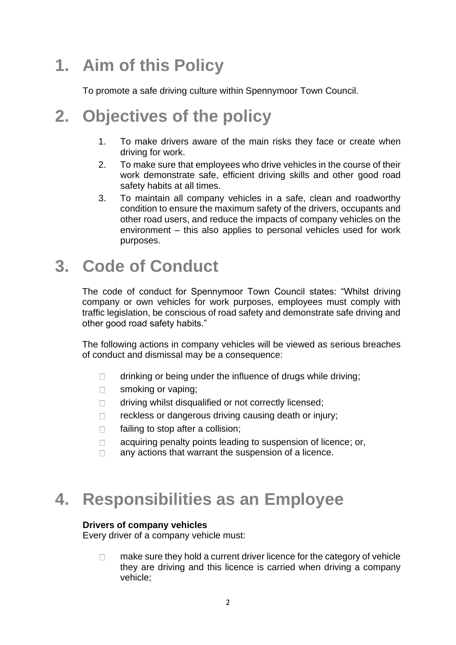## **1. Aim of this Policy**

To promote a safe driving culture within Spennymoor Town Council.

### **2. Objectives of the policy**

- 1. To make drivers aware of the main risks they face or create when driving for work.
- 2. To make sure that employees who drive vehicles in the course of their work demonstrate safe, efficient driving skills and other good road safety habits at all times.
- 3. To maintain all company vehicles in a safe, clean and roadworthy condition to ensure the maximum safety of the drivers, occupants and other road users, and reduce the impacts of company vehicles on the environment – this also applies to personal vehicles used for work purposes.

### **3. Code of Conduct**

The code of conduct for Spennymoor Town Council states: "Whilst driving company or own vehicles for work purposes, employees must comply with traffic legislation, be conscious of road safety and demonstrate safe driving and other good road safety habits."

The following actions in company vehicles will be viewed as serious breaches of conduct and dismissal may be a consequence:

- drinking or being under the influence of drugs while driving;  $\Box$
- $\Box$ smoking or vaping;
- driving whilst disqualified or not correctly licensed;  $\Box$
- $\Box$ reckless or dangerous driving causing death or injury;
- failing to stop after a collision;  $\Box$
- acquiring penalty points leading to suspension of licence; or,  $\Box$
- any actions that warrant the suspension of a licence.  $\Box$

### **4. Responsibilities as an Employee**

#### **Drivers of company vehicles**

Every driver of a company vehicle must:

make sure they hold a current driver licence for the category of vehicle  $\Box$ they are driving and this licence is carried when driving a company vehicle;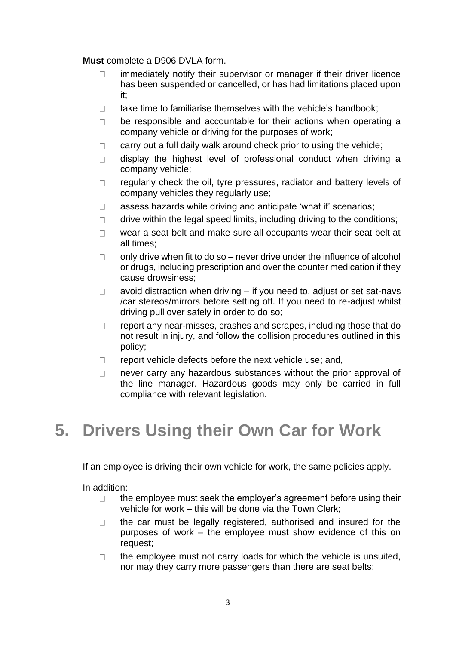**Must** complete a D906 DVLA form.

- immediately notify their supervisor or manager if their driver licence  $\Box$ has been suspended or cancelled, or has had limitations placed upon it;
- take time to familiarise themselves with the vehicle's handbook;  $\Box$
- be responsible and accountable for their actions when operating a  $\Box$ company vehicle or driving for the purposes of work;
- $\Box$ carry out a full daily walk around check prior to using the vehicle;
- display the highest level of professional conduct when driving a  $\Box$ company vehicle;
- regularly check the oil, tyre pressures, radiator and battery levels of  $\Box$ company vehicles they regularly use;
- $\Box$ assess hazards while driving and anticipate 'what if' scenarios;
- drive within the legal speed limits, including driving to the conditions;  $\Box$
- wear a seat belt and make sure all occupants wear their seat belt at  $\Box$ all times;
- $\Box$ only drive when fit to do so – never drive under the influence of alcohol or drugs, including prescription and over the counter medication if they cause drowsiness;
- $\Box$ avoid distraction when driving – if you need to, adjust or set sat-navs /car stereos/mirrors before setting off. If you need to re-adjust whilst driving pull over safely in order to do so;
- $\Box$ report any near-misses, crashes and scrapes, including those that do not result in injury, and follow the collision procedures outlined in this policy;
- report vehicle defects before the next vehicle use; and,  $\Box$
- never carry any hazardous substances without the prior approval of  $\Box$ the line manager. Hazardous goods may only be carried in full compliance with relevant legislation.

# **5. Drivers Using their Own Car for Work**

If an employee is driving their own vehicle for work, the same policies apply.

In addition:

- the employee must seek the employer's agreement before using their  $\Box$ vehicle for work – this will be done via the Town Clerk;
- the car must be legally registered, authorised and insured for the  $\Box$ purposes of work – the employee must show evidence of this on request;
- the employee must not carry loads for which the vehicle is unsuited,  $\Box$ nor may they carry more passengers than there are seat belts;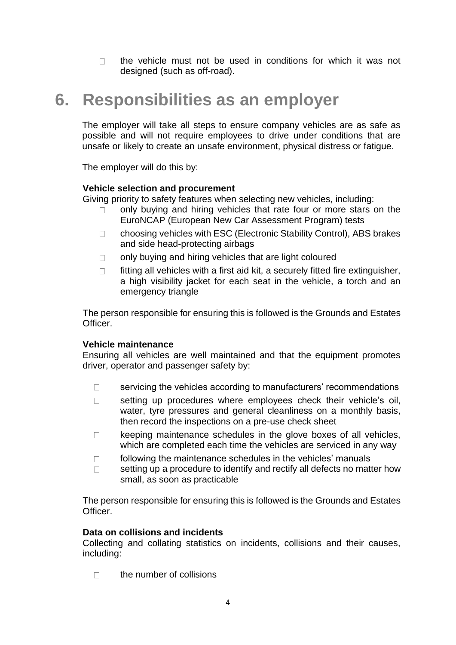the vehicle must not be used in conditions for which it was not  $\Box$ designed (such as off-road).

### **6. Responsibilities as an employer**

The employer will take all steps to ensure company vehicles are as safe as possible and will not require employees to drive under conditions that are unsafe or likely to create an unsafe environment, physical distress or fatigue.

The employer will do this by:

#### **Vehicle selection and procurement**

Giving priority to safety features when selecting new vehicles, including:

- only buying and hiring vehicles that rate four or more stars on the  $\Box$ EuroNCAP (European New Car Assessment Program) tests
- choosing vehicles with ESC (Electronic Stability Control), ABS brakes  $\Box$ and side head-protecting airbags
- $\Box$ only buying and hiring vehicles that are light coloured
- fitting all vehicles with a first aid kit, a securely fitted fire extinguisher,  $\Box$ a high visibility jacket for each seat in the vehicle, a torch and an emergency triangle

The person responsible for ensuring this is followed is the Grounds and Estates Officer.

#### **Vehicle maintenance**

Ensuring all vehicles are well maintained and that the equipment promotes driver, operator and passenger safety by:

- servicing the vehicles according to manufacturers' recommendations  $\Box$
- $\Box$ setting up procedures where employees check their vehicle's oil, water, tyre pressures and general cleanliness on a monthly basis, then record the inspections on a pre-use check sheet
- keeping maintenance schedules in the glove boxes of all vehicles,  $\Box$ which are completed each time the vehicles are serviced in any way
- $\Box$ following the maintenance schedules in the vehicles' manuals
- setting up a procedure to identify and rectify all defects no matter how  $\Box$ small, as soon as practicable

The person responsible for ensuring this is followed is the Grounds and Estates Officer.

#### **Data on collisions and incidents**

Collecting and collating statistics on incidents, collisions and their causes, including:

the number of collisions  $\Box$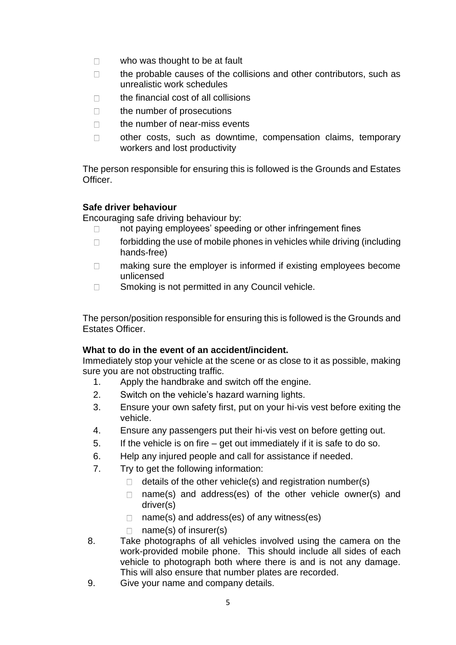- $\Box$ who was thought to be at fault
- the probable causes of the collisions and other contributors, such as  $\Box$ unrealistic work schedules
- $\Box$ the financial cost of all collisions
- $\Box$ the number of prosecutions
- $\Box$ the number of near-miss events
- $\Box$ other costs, such as downtime, compensation claims, temporary workers and lost productivity

The person responsible for ensuring this is followed is the Grounds and Estates Officer.

#### **Safe driver behaviour**

Encouraging safe driving behaviour by:

- not paying employees' speeding or other infringement fines  $\Box$
- forbidding the use of mobile phones in vehicles while driving (including  $\Box$ hands-free)
- making sure the employer is informed if existing employees become  $\Box$ unlicensed
- $\Box$ Smoking is not permitted in any Council vehicle.

The person/position responsible for ensuring this is followed is the Grounds and Estates Officer.

#### **What to do in the event of an accident/incident.**

Immediately stop your vehicle at the scene or as close to it as possible, making sure you are not obstructing traffic.

- 1. Apply the handbrake and switch off the engine.
- 2. Switch on the vehicle's hazard warning lights.
- 3. Ensure your own safety first, put on your hi-vis vest before exiting the vehicle.
- 4. Ensure any passengers put their hi-vis vest on before getting out.
- 5. If the vehicle is on fire get out immediately if it is safe to do so.
- 6. Help any injured people and call for assistance if needed.
- 7. Try to get the following information:
	- $\Box$  details of the other vehicle(s) and registration number(s)
	- name(s) and address(es) of the other vehicle owner(s) and  $\Box$ driver(s)
	- name(s) and address(es) of any witness(es)  $\Box$
	- name(s) of insurer(s)  $\Box$
- 8. Take photographs of all vehicles involved using the camera on the work-provided mobile phone. This should include all sides of each vehicle to photograph both where there is and is not any damage. This will also ensure that number plates are recorded.
- 9. Give your name and company details.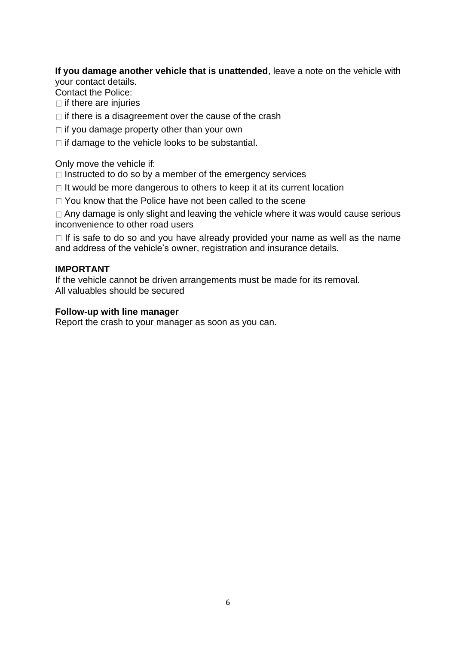**If you damage another vehicle that is unattended**, leave a note on the vehicle with your contact details.

Contact the Police:

 $\Box$  if there are injuries

- $\Box$  if there is a disagreement over the cause of the crash
- $\Box$  if you damage property other than your own
- $\Box$  if damage to the vehicle looks to be substantial.

Only move the vehicle if:

 $\Box$  Instructed to do so by a member of the emergency services

- $\Box$  It would be more dangerous to others to keep it at its current location
- □ You know that the Police have not been called to the scene

 $\Box$  Any damage is only slight and leaving the vehicle where it was would cause serious inconvenience to other road users

 $\Box$  If is safe to do so and you have already provided your name as well as the name and address of the vehicle's owner, registration and insurance details.

#### **IMPORTANT**

If the vehicle cannot be driven arrangements must be made for its removal. All valuables should be secured

#### **Follow-up with line manager**

Report the crash to your manager as soon as you can.